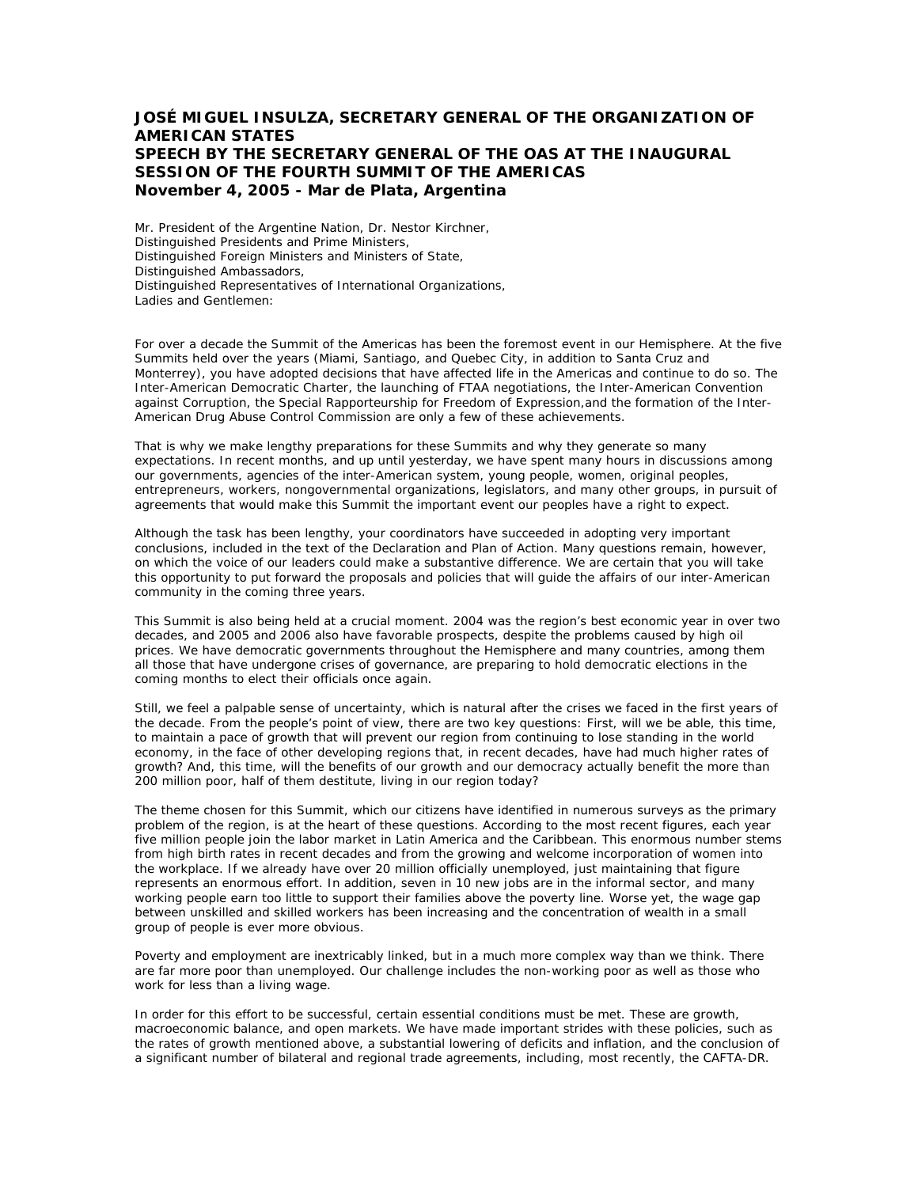## **JOSÉ MIGUEL INSULZA, SECRETARY GENERAL OF THE ORGANIZATION OF AMERICAN STATES SPEECH BY THE SECRETARY GENERAL OF THE OAS AT THE INAUGURAL SESSION OF THE FOURTH SUMMIT OF THE AMERICAS November 4, 2005 - Mar de Plata, Argentina**

Mr. President of the Argentine Nation, Dr. Nestor Kirchner, Distinguished Presidents and Prime Ministers, Distinguished Foreign Ministers and Ministers of State, Distinguished Ambassadors, Distinguished Representatives of International Organizations, Ladies and Gentlemen:

For over a decade the Summit of the Americas has been the foremost event in our Hemisphere. At the five Summits held over the years (Miami, Santiago, and Quebec City, in addition to Santa Cruz and Monterrey), you have adopted decisions that have affected life in the Americas and continue to do so. The Inter-American Democratic Charter, the launching of FTAA negotiations, the Inter-American Convention against Corruption, the Special Rapporteurship for Freedom of Expression,and the formation of the Inter-American Drug Abuse Control Commission are only a few of these achievements.

That is why we make lengthy preparations for these Summits and why they generate so many expectations. In recent months, and up until yesterday, we have spent many hours in discussions among our governments, agencies of the inter-American system, young people, women, original peoples, entrepreneurs, workers, nongovernmental organizations, legislators, and many other groups, in pursuit of agreements that would make this Summit the important event our peoples have a right to expect.

Although the task has been lengthy, your coordinators have succeeded in adopting very important conclusions, included in the text of the Declaration and Plan of Action. Many questions remain, however, on which the voice of our leaders could make a substantive difference. We are certain that you will take this opportunity to put forward the proposals and policies that will guide the affairs of our inter-American community in the coming three years.

This Summit is also being held at a crucial moment. 2004 was the region's best economic year in over two decades, and 2005 and 2006 also have favorable prospects, despite the problems caused by high oil prices. We have democratic governments throughout the Hemisphere and many countries, among them all those that have undergone crises of governance, are preparing to hold democratic elections in the coming months to elect their officials once again.

Still, we feel a palpable sense of uncertainty, which is natural after the crises we faced in the first years of the decade. From the people's point of view, there are two key questions: First, will we be able, this time, to maintain a pace of growth that will prevent our region from continuing to lose standing in the world economy, in the face of other developing regions that, in recent decades, have had much higher rates of growth? And, this time, will the benefits of our growth and our democracy actually benefit the more than 200 million poor, half of them destitute, living in our region today?

The theme chosen for this Summit, which our citizens have identified in numerous surveys as the primary problem of the region, is at the heart of these questions. According to the most recent figures, each year five million people join the labor market in Latin America and the Caribbean. This enormous number stems from high birth rates in recent decades and from the growing and welcome incorporation of women into the workplace. If we already have over 20 million officially unemployed, just maintaining that figure represents an enormous effort. In addition, seven in 10 new jobs are in the informal sector, and many working people earn too little to support their families above the poverty line. Worse yet, the wage gap between unskilled and skilled workers has been increasing and the concentration of wealth in a small group of people is ever more obvious.

Poverty and employment are inextricably linked, but in a much more complex way than we think. There are far more poor than unemployed. Our challenge includes the non-working poor as well as those who work for less than a living wage.

In order for this effort to be successful, certain essential conditions must be met. These are growth, macroeconomic balance, and open markets. We have made important strides with these policies, such as the rates of growth mentioned above, a substantial lowering of deficits and inflation, and the conclusion of a significant number of bilateral and regional trade agreements, including, most recently, the CAFTA-DR.